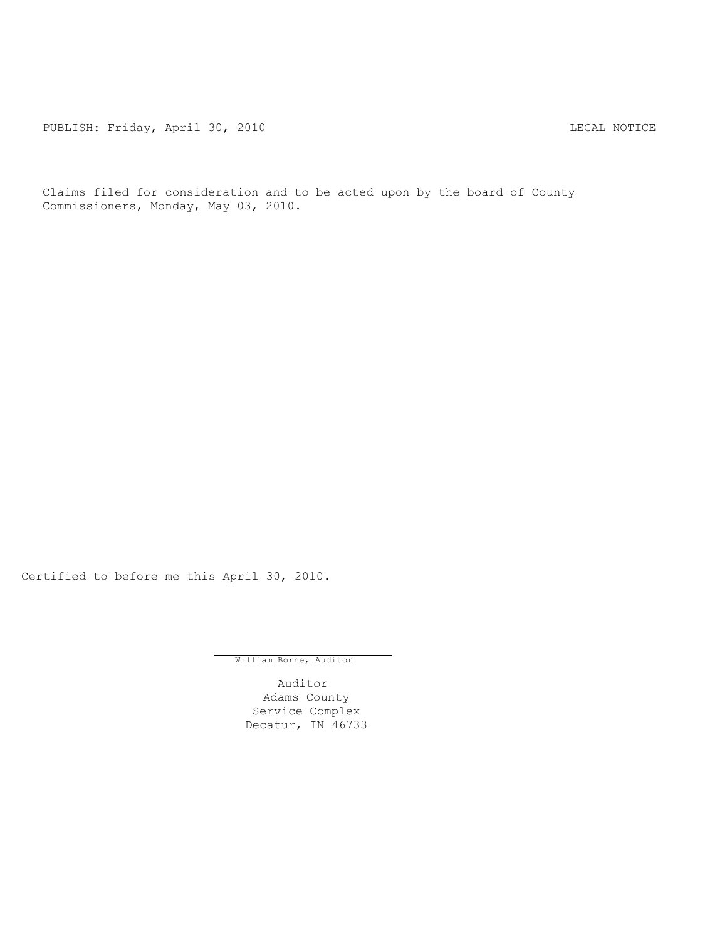PUBLISH: Friday, April 30, 2010 CHA CHANGE CONTROLLY AND THE LEGAL NOTICE

Claims filed for consideration and to be acted upon by the board of County Commissioners, Monday, May 03, 2010.

Certified to before me this April 30, 2010.

William Borne, Auditor

Auditor Adams County Service Complex Decatur, IN 46733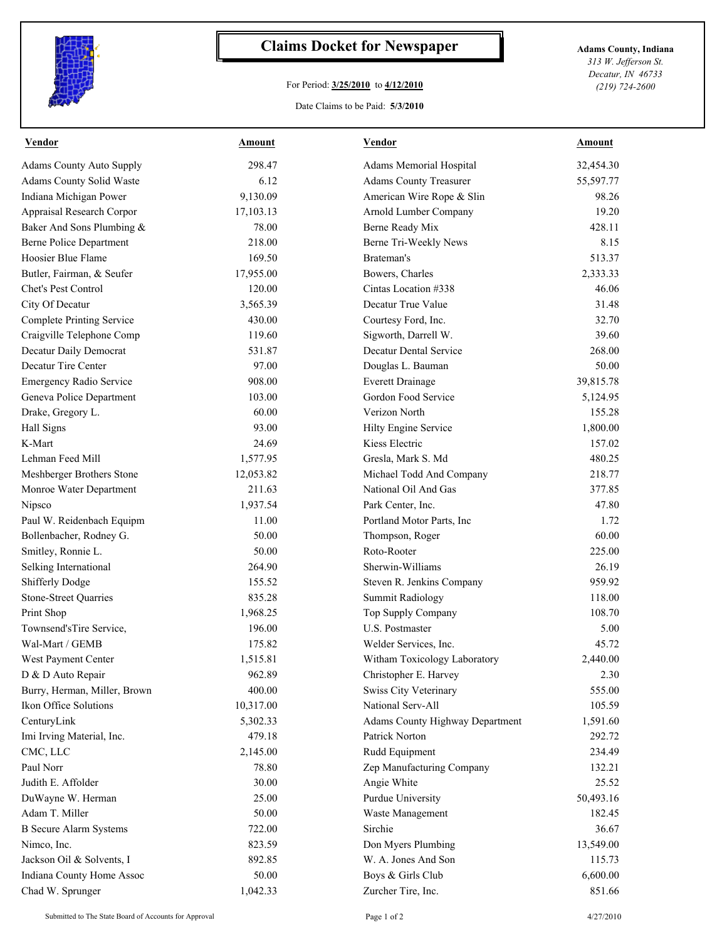

## **Claims Docket for Newspaper Adams County, Indiana**

## For Period: **3/25/2010** to **4/12/2010**

*313 W. Jefferson St. Decatur, IN 46733 (219) 724-2600*

## Date Claims to be Paid: **5/3/2010**

| Vendor                           | Amount    | Vendor                          | Amount    |
|----------------------------------|-----------|---------------------------------|-----------|
| <b>Adams County Auto Supply</b>  | 298.47    | Adams Memorial Hospital         | 32,454.30 |
| Adams County Solid Waste         | 6.12      | <b>Adams County Treasurer</b>   | 55,597.77 |
| Indiana Michigan Power           | 9,130.09  | American Wire Rope & Slin       | 98.26     |
| Appraisal Research Corpor        | 17,103.13 | Arnold Lumber Company           | 19.20     |
| Baker And Sons Plumbing &        | 78.00     | Berne Ready Mix                 | 428.11    |
| <b>Berne Police Department</b>   | 218.00    | Berne Tri-Weekly News           | 8.15      |
| Hoosier Blue Flame               | 169.50    | Brateman's                      | 513.37    |
| Butler, Fairman, & Seufer        | 17,955.00 | Bowers, Charles                 | 2,333.33  |
| Chet's Pest Control              | 120.00    | Cintas Location #338            | 46.06     |
| City Of Decatur                  | 3,565.39  | Decatur True Value              | 31.48     |
| <b>Complete Printing Service</b> | 430.00    | Courtesy Ford, Inc.             | 32.70     |
| Craigville Telephone Comp        | 119.60    | Sigworth, Darrell W.            | 39.60     |
| Decatur Daily Democrat           | 531.87    | Decatur Dental Service          | 268.00    |
| Decatur Tire Center              | 97.00     | Douglas L. Bauman               | 50.00     |
| <b>Emergency Radio Service</b>   | 908.00    | <b>Everett Drainage</b>         | 39,815.78 |
| Geneva Police Department         | 103.00    | Gordon Food Service             | 5,124.95  |
| Drake, Gregory L.                | 60.00     | Verizon North                   | 155.28    |
| Hall Signs                       | 93.00     | Hilty Engine Service            | 1,800.00  |
| K-Mart                           | 24.69     | Kiess Electric                  | 157.02    |
| Lehman Feed Mill                 | 1,577.95  | Gresla, Mark S. Md              | 480.25    |
| Meshberger Brothers Stone        | 12,053.82 | Michael Todd And Company        | 218.77    |
| Monroe Water Department          | 211.63    | National Oil And Gas            | 377.85    |
| Nipsco                           | 1,937.54  | Park Center, Inc.               | 47.80     |
| Paul W. Reidenbach Equipm        | 11.00     | Portland Motor Parts, Inc.      | 1.72      |
| Bollenbacher, Rodney G.          | 50.00     | Thompson, Roger                 | 60.00     |
| Smitley, Ronnie L.               | 50.00     | Roto-Rooter                     | 225.00    |
| Selking International            | 264.90    | Sherwin-Williams                | 26.19     |
| Shifferly Dodge                  | 155.52    | Steven R. Jenkins Company       | 959.92    |
| <b>Stone-Street Quarries</b>     | 835.28    | <b>Summit Radiology</b>         | 118.00    |
| Print Shop                       | 1,968.25  | Top Supply Company              | 108.70    |
| Townsend'sTire Service,          | 196.00    | U.S. Postmaster                 | 5.00      |
| Wal-Mart / GEMB                  | 175.82    | Welder Services, Inc.           | 45.72     |
| West Payment Center              | 1,515.81  | Witham Toxicology Laboratory    | 2,440.00  |
| D & D Auto Repair                | 962.89    | Christopher E. Harvey           | 2.30      |
| Burry, Herman, Miller, Brown     | 400.00    | Swiss City Veterinary           | 555.00    |
| Ikon Office Solutions            | 10,317.00 | National Serv-All               | 105.59    |
| CenturyLink                      | 5,302.33  | Adams County Highway Department | 1,591.60  |
| Imi Irving Material, Inc.        | 479.18    | Patrick Norton                  | 292.72    |
| CMC, LLC                         | 2,145.00  | Rudd Equipment                  | 234.49    |
| Paul Norr                        | 78.80     | Zep Manufacturing Company       | 132.21    |
| Judith E. Affolder               | 30.00     | Angie White                     | 25.52     |
| DuWayne W. Herman                | 25.00     | Purdue University               | 50,493.16 |
| Adam T. Miller                   | 50.00     | Waste Management                | 182.45    |
| <b>B</b> Secure Alarm Systems    | 722.00    | Sirchie                         | 36.67     |
| Nimeo, Inc.                      | 823.59    | Don Myers Plumbing              | 13,549.00 |
| Jackson Oil & Solvents, I        | 892.85    | W. A. Jones And Son             | 115.73    |
| Indiana County Home Assoc        | 50.00     | Boys & Girls Club               | 6,600.00  |
| Chad W. Sprunger                 | 1,042.33  | Zurcher Tire, Inc.              | 851.66    |